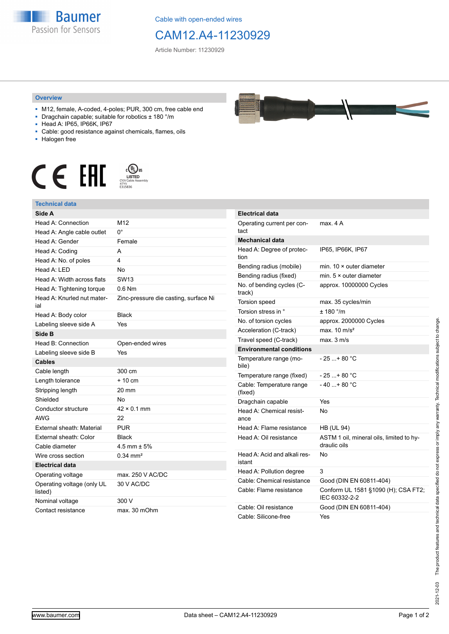

Cable with open-ended wires

## CAM12.A4-11230929

Article Number: 11230929

## **Overview**

- M12, female, A-coded, 4-poles; PUR, 300 cm, free cable end
- Dragchain capable; suitable for robotics ± 180 °/m
- Head A: IP65, IP66K, IP67
- Cable: good resistance against chemicals, flames, oils
- Halogen free



## **Technical data**

| Side A                                |                                       |
|---------------------------------------|---------------------------------------|
| Head A: Connection                    | M <sub>12</sub>                       |
| Head A: Angle cable outlet            | 0°                                    |
| Head A: Gender                        | Female                                |
| Head A: Coding                        | A                                     |
| Head A: No. of poles                  | 4                                     |
| Head A: LED                           | <b>No</b>                             |
| Head A: Width across flats            | SW <sub>13</sub>                      |
| Head A: Tightening torque             | $0.6$ Nm                              |
| Head A: Knurled nut mater-<br>ial     | Zinc-pressure die casting, surface Ni |
| Head A: Body color                    | <b>Black</b>                          |
| Labeling sleeve side A                | Yes                                   |
| Side B                                |                                       |
| Head B: Connection                    | Open-ended wires                      |
| Labeling sleeve side B                | Yes                                   |
| <b>Cables</b>                         |                                       |
| Cable length                          | 300 cm                                |
| Length tolerance                      | $+10cm$                               |
| Stripping length                      | $20 \text{ mm}$                       |
| Shielded                              | No                                    |
| Conductor structure                   | $42 \times 0.1$ mm                    |
| <b>AWG</b>                            | 22                                    |
| External sheath: Material             | <b>PUR</b>                            |
| External sheath: Color                | <b>Black</b>                          |
| Cable diameter                        | 4.5 mm $\pm$ 5%                       |
| Wire cross section                    | $0.34$ mm <sup>2</sup>                |
| <b>Electrical data</b>                |                                       |
| Operating voltage                     | max. 250 V AC/DC                      |
| Operating voltage (only UL<br>listed) | 30 V AC/DC                            |
| Nominal voltage                       | 300 V                                 |
| Contact resistance                    | max. 30 mOhm                          |



| <b>Electrical data</b>                 |                                                          |
|----------------------------------------|----------------------------------------------------------|
| Operating current per con-<br>tact     | max 4 A                                                  |
| Mechanical data                        |                                                          |
| Head A: Degree of protec-<br>tion      | IP65, IP66K, IP67                                        |
| Bending radius (mobile)                | min. $10 \times$ outer diameter                          |
| Bending radius (fixed)                 | min. $5 \times$ outer diameter                           |
| No. of bending cycles (C-<br>track)    | approx. 10000000 Cycles                                  |
| Torsion speed                          | max. 35 cycles/min                                       |
| Torsion stress in °                    | ± 180 °/m                                                |
| No. of torsion cycles                  | approx. 2000000 Cycles                                   |
| Acceleration (C-track)                 | max $10 \text{ m/s}^2$                                   |
| Travel speed (C-track)                 | max. 3 m/s                                               |
| <b>Environmental conditions</b>        |                                                          |
| Temperature range (mo-<br>bile)        | $-25+80 °C$                                              |
| Temperature range (fixed)              | $-25+80 °C$                                              |
| Cable: Temperature range<br>(fixed)    | $-40+80 °C$                                              |
| Dragchain capable                      | Yes                                                      |
| Head A: Chemical resist-<br>ance       | No                                                       |
| Head A: Flame resistance               | <b>HB (UL 94)</b>                                        |
| Head A: Oil resistance                 | ASTM 1 oil, mineral oils, limited to hy-<br>draulic oils |
| Head A: Acid and alkali res-<br>istant | No                                                       |
| Head A: Pollution degree               | 3                                                        |
| Cable: Chemical resistance             | Good (DIN EN 60811-404)                                  |
| Cable: Flame resistance                | Conform UL 1581 §1090 (H); CSA FT2;<br>IEC 60332-2-2     |
| Cable: Oil resistance                  | Good (DIN EN 60811-404)                                  |
| Cable: Silicone-free                   | Yes                                                      |